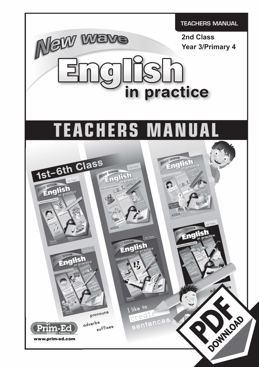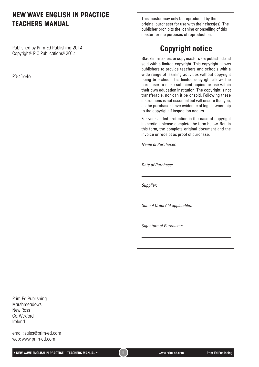### **NEW WAVE ENGLISH IN PRACTICE TEACHERS MANUAL**

Published by Prim-Ed Publishing 2014 Copyright© RIC Publications® 2014

PR-41646

This master may only be reproduced by the original purchaser for use with their class(es). The publisher prohibits the loaning or onselling of this master for the purposes of reproduction.

# **Copyright notice**

Blackline masters or copy masters are published and sold with a limited copyright. This copyright allows publishers to provide teachers and schools with a wide range of learning activities without copyright being breached. This limited copyright allows the purchaser to make sufficient copies for use within their own education institution. The copyright is not transferable, nor can it be onsold. Following these instructions is not essential but will ensure that you, as the purchaser, have evidence of legal ownership to the copyright if inspection occurs.

For your added protection in the case of copyright inspection, please complete the form below. Retain this form, the complete original document and the invoice or receipt as proof of purchase.

*Name of Purchaser:*

*Date of Purchase:*

*Supplier:*

*School Order# (if applicable):*

*Signature of Purchaser:*

Prim-Ed Publishing **Marshmeadows** New Ross Co. Wexford Ireland

email: sales@prim-ed.com web: www.prim-ed.com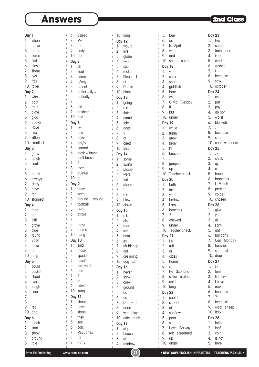$\vdots$ 

| Day 1            |              |
|------------------|--------------|
| 1.<br>2.         | when         |
|                  | make         |
| 3.               | made         |
| 4.               | flame        |
| 5.               | first        |
| 6.               | close        |
| 7.               | <b>There</b> |
| 8.               | two          |
| 9.               | tree         |
|                  | 10. taller   |
| Day 2            |              |
| 1.               | who          |
| 2.               | boat         |
| 3.               | train        |
| 4.               | plate        |
| 5.               | glad         |
| 6.               | above        |
| 7.               | Have         |
| 8.               | two          |
| 9.               | kitten       |
| 10.              | smallest     |
| Day 3            |              |
| 1.               | goes         |
| $\overline{2}$ . | lunch        |
| 3.               | snake        |
| 4.               | read         |
| 5.               |              |
| 6.               | break        |
|                  | always       |
| 7.               | Harry        |
| 8.               | have         |
| 9.               | ran          |
| 10.              | stopped      |
| Day 4            |              |
| 1.               | third        |
| $\overline{2}$ . | out          |
| 3.               | cliff        |
| 4.               | grave        |
| 5.               | clue         |
| 6.               | found        |
| 7.               | Sally        |
| 8.               | have         |
| 9.               | put          |
| 10.              | help         |
| Day              | 5            |
| 1.               | could        |
| 2.               | basket       |
| 3.               | shout        |
| 4.               | two          |
| 5.               | laugh        |
| 6.               | sour         |
| 7.               | L            |
| 8.               | I            |
| 9.               | red          |
| 10.              | and          |
| Day              | 6            |
| 1.               | teach        |
| 2.               | start        |
| 3.               | show         |

| 6.               | asleep             |
|------------------|--------------------|
| 7.               | My<br>ı            |
| 8.               | me                 |
| 9.               |                    |
| 10.              | curly<br>but       |
|                  |                    |
| Day 7            |                    |
| 1.               | ch                 |
| 2.               | float              |
| 3.               | crime              |
| 4.               | a/way              |
| 5.               | do not             |
| 6.               | butter $+$ fly $=$ |
|                  | butterfly          |
| 7.               |                    |
| 8.               | girl               |
| 9.               | freshest           |
|                  | $10.$ and          |
| Day 8            |                    |
| 1.               | five               |
| $\overline{2}$ . | oes                |
| 3.               | pride              |
| 4.               | par/ty             |
| 5.               | cannot             |
| 6.               | $tooth + brush =$  |
|                  | toothbrush         |
| 7.               | ?                  |
| 8.               | river              |
| 9.               | quicker            |
| 10.              | or                 |
| Day 9            |                    |
| 1.               | them               |
| 2.               | were               |
| 3.               | ground<br>around   |
| 4.               | football           |
| 5.               | I will             |
| 6.               | afraid             |
| 7.               | ļ                  |
| 8.               | have               |
| 9.               | roared             |
| 10.              | hang               |
|                  | <b>Day 10</b>      |
| 1.               | said               |
| $\overline{2}$ . | those              |
| 3.               | spade              |
| 4.               | hasn't             |
| 5.               | farmyard           |
| 6.               | harm               |
| 7.               | ?                  |
| 8.               | to                 |
| 9.               | cries              |
| 10.              |                    |
|                  | sung               |
|                  | <b>Day 11</b>      |
| 1.               | should             |
| 2.               | have               |
| 3.               | stone              |
| 4.               | they               |
| 5.               | see                |
| 6.               | cats               |
| 7.               | Mrs Jones          |
| 8.<br>9.         | off<br>Harry       |

|                                                                                   | 10.                  | long                   |
|-----------------------------------------------------------------------------------|----------------------|------------------------|
|                                                                                   | <b>Day 12</b>        |                        |
|                                                                                   | 1.                   | would                  |
|                                                                                   | 2.                   | live                   |
|                                                                                   |                      | globe                  |
|                                                                                   | 3.                   |                        |
|                                                                                   | 4.                   | two                    |
|                                                                                   | 5.<br>6.<br>7.<br>8. | sea                    |
|                                                                                   |                      | rocks                  |
|                                                                                   |                      | Please<br>$\mathbf{I}$ |
|                                                                                   |                      | of                     |
|                                                                                   |                      |                        |
|                                                                                   | 9.                   | Dublin                 |
|                                                                                   | 10.                  | black                  |
|                                                                                   | <b>Day 13</b>        |                        |
|                                                                                   | 1.                   | going                  |
|                                                                                   | $\overline{2}$ .     | o e                    |
|                                                                                   |                      |                        |
|                                                                                   | 3.                   | flute                  |
|                                                                                   | 4.                   | carrot                 |
|                                                                                   | 5.                   | tale                   |
|                                                                                   | 6.                   | dogs                   |
|                                                                                   | 7.                   | ?                      |
|                                                                                   |                      |                        |
|                                                                                   | 8.                   | of                     |
|                                                                                   | 9.                   | cried                  |
|                                                                                   | 10.                  | ship                   |
|                                                                                   | Day 14               |                        |
|                                                                                   | 1.                   |                        |
|                                                                                   |                      | some                   |
|                                                                                   | 2.                   | swing                  |
|                                                                                   | 3.                   | shape                  |
|                                                                                   | 4.                   | were                   |
|                                                                                   | 5.                   | tail                   |
|                                                                                   | 6.                   | shops                  |
|                                                                                   |                      |                        |
|                                                                                   | 7.                   | ļ                      |
|                                                                                   | 8.                   | me                     |
|                                                                                   | 9.                   | blew                   |
|                                                                                   | 10.                  | clown                  |
|                                                                                   |                      |                        |
|                                                                                   | <b>Day 15</b>        |                        |
|                                                                                   | 1.                   | n k                    |
|                                                                                   | 2.                   | also                   |
|                                                                                   | 3.                   | rude                   |
|                                                                                   | 4.                   | set                    |
|                                                                                   | 5.                   | hear                   |
|                                                                                   |                      |                        |
|                                                                                   | 6.<br>7.             | es                     |
|                                                                                   |                      | Mr Bishop              |
|                                                                                   | 8.                   | did                    |
|                                                                                   | 9.                   | are going              |
|                                                                                   | 10.                  | dog cat                |
|                                                                                   |                      |                        |
|                                                                                   | <b>Day 16</b>        |                        |
|                                                                                   | 1.                   | never                  |
|                                                                                   | $\overline{2}$ .     | sank                   |
|                                                                                   | 3.                   | crawl                  |
|                                                                                   | 4.                   |                        |
|                                                                                   |                      | ground                 |
|                                                                                   | 5.                   | be                     |
|                                                                                   | 6.                   | es                     |
|                                                                                   | 7.                   | Danny<br>I             |
|                                                                                   | 8.                   | done                   |
|                                                                                   | 9.                   | were playing           |
|                                                                                   |                      |                        |
|                                                                                   | 10.                  | eats drinks            |
| ,我们在一个人的时候,我们在一个人的时候,我们在一个人的时候,我们在一个人的时候,我们在一个人的时候,我们在一个人的时候,我们在一个人的时候,我们在一个人的时候, | <b>Day 17</b>        |                        |
|                                                                                   | 1.                   | skip                   |
|                                                                                   | 2.                   | beach                  |
|                                                                                   | 3.                   |                        |
|                                                                                   |                      | slide                  |

|                                                                                                  | 5.               | bee             |
|--------------------------------------------------------------------------------------------------|------------------|-----------------|
|                                                                                                  | 6.               | es              |
|                                                                                                  | 7.               | ls<br>April     |
|                                                                                                  | 8.               | when            |
| 的复数形式的过去式和过去分词 医阿拉伯氏的过去式和过去分词形式的过去式和过去分词形式的过去式和过去分词形式 医马克氏试验检尿 医皮肤发生 医皮肤发生 医皮肤发生 医皮肤发生 医生化学 医生化学 | 9.               | and             |
|                                                                                                  | 10.              | spade shed      |
|                                                                                                  | <b>Day 18</b>    |                 |
|                                                                                                  | 1.               | v e             |
|                                                                                                  | 2.               | sank            |
|                                                                                                  | 3.               |                 |
|                                                                                                  |                  | shore           |
|                                                                                                  | 4.               | goldfish        |
|                                                                                                  | 5.               | here            |
|                                                                                                  | 6.               | es              |
|                                                                                                  | 7.               | Olivia Tuesday  |
|                                                                                                  | 8.               | lf              |
|                                                                                                  | 9.               | but             |
|                                                                                                  | 10.              | under           |
|                                                                                                  | Day 19           |                 |
|                                                                                                  | 1.               | while           |
|                                                                                                  | 2.               | funny           |
|                                                                                                  |                  |                 |
|                                                                                                  | 3.               | grow            |
|                                                                                                  | 4.               | la/dy           |
|                                                                                                  | 5.               | ľI              |
|                                                                                                  | 6.               | brushes         |
|                                                                                                  | 7.               |                 |
|                                                                                                  | 8.               | jumped          |
|                                                                                                  | 9.               | up              |
|                                                                                                  | 10.              | Teacher check   |
|                                                                                                  | Day 20           |                 |
|                                                                                                  | 1.               | bath            |
|                                                                                                  | 2.               |                 |
|                                                                                                  |                  | fast            |
|                                                                                                  | 3.               | year            |
|                                                                                                  | 4.               | be/low          |
|                                                                                                  | 5.               | I am            |
|                                                                                                  |                  | 6. benches      |
|                                                                                                  | 7.               | ?               |
|                                                                                                  | 8.               | chewed          |
|                                                                                                  | 9.               | under           |
|                                                                                                  | 10.              | Teacher check   |
|                                                                                                  | <b>Day 21</b>    |                 |
|                                                                                                  | 1.               | i e             |
|                                                                                                  | 2.               | full            |
|                                                                                                  | 3.               | αi              |
|                                                                                                  | 4.               |                 |
|                                                                                                  |                  | class           |
|                                                                                                  | 5.               | home            |
|                                                                                                  | 6.               | S               |
|                                                                                                  | 7.               | He<br>Scotland  |
|                                                                                                  | 8.               | sister brother  |
|                                                                                                  | 9.               | cold            |
|                                                                                                  | 10.              | long            |
|                                                                                                  | <b>Day 22</b>    |                 |
|                                                                                                  | 1.               | could           |
|                                                                                                  | $\overline{2}$ . | school          |
|                                                                                                  | 3.               | ai              |
|                                                                                                  | 4.               | sunflower       |
|                                                                                                  |                  |                 |
|                                                                                                  | 5.               | poor            |
|                                                                                                  | 6.               | S               |
|                                                                                                  | 7.               | Have<br>Galway  |
|                                                                                                  | 8.               | ran<br>screamed |
|                                                                                                  | 9.               | up              |
|                                                                                                  | 10.              | angry           |

| <b>Day 23</b>    |                       |
|------------------|-----------------------|
| 1.               | like                  |
| 2.               | camp                  |
| 3.               | train<br>lane         |
|                  |                       |
| 4.               | is not                |
| 5.               | crash                 |
| 6.               | wishes                |
| 7.               | ļ                     |
|                  |                       |
| 8.               | because               |
| 9.               | saw                   |
|                  | 10. october           |
|                  |                       |
| <b>Day 24</b>    |                       |
| 1.               | us                    |
| $\overline{2}$ . | put                   |
| 3.               | pay                   |
|                  |                       |
| 4.               | do not                |
| 5.               | worst                 |
| 6.               | blankets              |
| 7.               |                       |
|                  |                       |
| 8.               | because               |
| 9.               | seen                  |
| 10.              | cork waterford        |
|                  |                       |
| <b>Day 25</b>    |                       |
| 1.               | ZZ                    |
| 2.               | chick                 |
| 3.               | ay                    |
|                  |                       |
| 4.               | 0                     |
| 5.               | bone                  |
| 6.               | branches              |
| 7.               | $\mathbf{I}$<br>March |
|                  |                       |
| 8.               | prettier              |
| 9.               | colder                |
|                  | 10. chased            |
|                  |                       |
| <b>Day 26</b>    |                       |
| 1.               | give                  |
| $\overline{2}$ . | your                  |
| 3.               | ai                    |
| 4.               |                       |
|                  | I am                  |
| 5.               | ant                   |
| 6.               | balloons              |
| 7.               | Can<br>Monday         |
|                  |                       |
| 8.               | heaviest              |
| 9.               | sharpest              |
| 10.              | drop                  |
| <b>Day 27</b>    |                       |
|                  |                       |
| 1.               | sk                    |
| 2.               | tent                  |
| 3.               | lie<br>cry            |
| 4.               | I have                |
|                  |                       |
| 5.               | rock                  |
| 6.               | beaches               |
| 7.               | ?                     |
| 8.               | because               |
|                  |                       |
| 9.               | wool<br>sheep         |
| 10.              | italy                 |
| <b>Day 28</b>    |                       |
|                  |                       |
| 1.               | help                  |
| 2.               | loaf                  |
| 3.               | coin                  |
| 4.               | is not                |
|                  |                       |

4. around 5. tale

4. rainbow

 $\frac{1}{2}$ 

 $\vdots$ 

5. here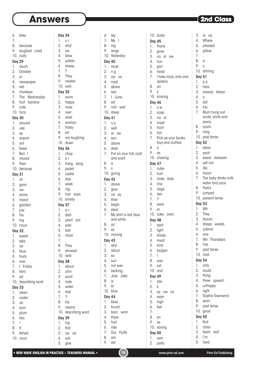$\vdots$ 

6. kites 7. . 8. because 9. laughed cried 10. rusty Day 29 1. much 2. October 3. ai 4. newspaper 5. red 6. monkeys 7. The Wednesday 8. fruit banana 9. cute 10. furry Day 30 1. around 2. use 3. ay 4. airport 5. ant 6. foxes 7. Ben I 8. moved 9. their 10. because Day 31 1. ch 2. gave 3. ow 4. some 5. insect 6. gar/den 7. july 8. his 9. ing 10. noun  $\overline{2}$ veet ke 3. oa ue uck er **Friday** ers 9. ed escribing word 3 ean nder 3. oa  $\mathsf{Im}\,$ um

| Day 32           |           |
|------------------|-----------|
| 1.               | <b>SV</b> |
| $2.$ tal         |           |
| 3.               | OC        |
| $\overline{4}$ . | blı       |
| 5.               | tru       |
| $6.$ $\circ$     |           |
| 7. 1             |           |
| 8. he            |           |
| 9.               | ec        |
| $10.$ de         |           |
| Day 33           |           |
| 1.               | Cl(       |
| $2.$ ur          |           |
| 3.               | OC        |
| $\overline{4}$ . | su        |
| 5. pl            |           |

| O. | two |
|----|-----|
|    |     |

- 8. It
- 9. fished
- 10. noun

| ֚֚֚֡ |                  |                          |
|------|------------------|--------------------------|
|      | <b>Day 34</b>    |                          |
|      | 1.               | u r                      |
|      | $\overline{2}$ . | shut                     |
|      | 3.               |                          |
|      |                  | <b>OW</b>                |
|      | 4.               | blew                     |
|      | 5.               | potato                   |
|      | 6.               | sheep                    |
|      | 7.               | $\overline{\phantom{a}}$ |
|      | 8.               | They                     |
|      | 9.               | nested                   |
|      | 10.              | verb                     |
|      | <b>Day 35</b>    |                          |
|      |                  |                          |
|      | 1.               | swim                     |
|      | $\overline{2}$ . | happy                    |
|      | 3.               | nose                     |
|      | 4.               | over                     |
|      | 5.               | shell                    |
|      | 6.               | woman                    |
|      | 7.               | friday                   |
|      | 8.               | ed                       |
|      | 9.               |                          |
|      |                  | are laughing             |
|      |                  | 10. down                 |
|      | <b>Day 36</b>    |                          |
|      | 1.               | chop                     |
|      | 2.               | e r                      |
|      | 3.               | hang sang                |
|      | 4.               | jacket                   |
|      | 5.               | castle                   |
|      | 6.               | drip                     |
|      | 7.               |                          |
|      |                  | week                     |
|      | 8.               | ing                      |
|      | 9.               | hair eyes                |
|      | 10.              | smelly                   |
|      | <b>Day 37</b>    |                          |
|      | 1.               | e r                      |
|      | $\overline{2}$ . | dish                     |
|      | 3.               | plant<br>ant             |
|      | 4.               | sale                     |
|      | 5.               |                          |
|      |                  |                          |
|      |                  | bell                     |
|      | 6.               | close                    |
|      | 7.               |                          |
|      | 8.               | They                     |
|      | 9.               | showed                   |
|      | 10.              | verb                     |
|      |                  |                          |
|      | <b>Day 38</b>    |                          |
|      | 1.               | about                    |
|      | 2.               | chin                     |
|      | 3.               | word                     |
|      | 4.               | rode                     |
|      | 5.               | water                    |
|      | 6.               | dad                      |
|      | 7.               | ?                        |
|      | 8.               | his                      |
|      | 9.               | cleans                   |
|      |                  |                          |
|      | 10.              | describing word          |
|      | Day              | 39                       |
|      | 1.               | trip                     |
|      | 2.               | first                    |
|      | 3.<br>4.         | <b>OW</b><br>oa<br>sail  |

| 6.               | sky                   |
|------------------|-----------------------|
| 7.               | $My$ I                |
| 8.               | ing                   |
| 9.               | sings                 |
| 10.              | Yesterday             |
| <b>Day 40</b>    |                       |
| 1.               | must                  |
| 2.               | n g                   |
| 3.               | OW<br>00              |
| 4.               | road                  |
| 5.               | above                 |
| 6.               | sea                   |
| 7.               | I June                |
| 8.               | ed                    |
| 9.               | nail wall             |
|                  | 10. steep             |
| Day 41           |                       |
| 1.               | o u                   |
| $\overline{2}$ . | well                  |
| 3.               | ai ow                 |
| 4.               | son                   |
|                  | 5. above              |
|                  | 6. desk               |
| 7.               | Put on your hat, coat |
|                  | and scarf.            |
| 8.               | a                     |
| 9.               | S                     |
|                  | 10. giving            |
| Day 42           |                       |
| 1.               | above                 |
| 2.               | glue                  |
| 3.               | oa ay                 |
| 4.               | their                 |
| 5.               | begin                 |
| 6.               | steel                 |
| $\overline{7}$ . | My shirt is red, blue |
|                  | and white.            |
| 8.               | an                    |
| 9.               | es                    |
| 10.              | moving                |
| <b>Day 43</b>    |                       |
| 1.               | why                   |
| 2.               | about                 |
| 3.               | S <sub>O</sub>        |
| 4.               | sun                   |
| 5.               | not ever              |
| 6.               | be/long               |
| 7.               | Jess Jake             |
| 8.               | is                    |
| 9.<br>10.        | er                    |
|                  | blue                  |
| Day 44           |                       |
| 1.               | blew                  |
| 2.<br>3.         | found                 |
| 4.               | born<br>worn          |
| 5.               | there<br>hurt         |
| 6.               | ride                  |
| 7.               | Our Fluffy            |
| 8.               | am                    |
| 9.               | est                   |
|                  |                       |

10. dusty Day 45 1. thank 2. grow 3. oa ai ow 4. lion 5. grin 6. head 7. I hate mice, ants and spiders. 8. an 9. s 10. snoring Day 46 1. o w 2. soap 3. oa ai 4. meet 5. front 6. hot 7. Pick up your books, toys and clothes. 8. a 9. es 10. chasing Day 47 1. cube 2. hurt 3. mate Kate 4. line 5. large 6. two 7. ? 8. were 9. er 10. cake oven Day 48 1. spot 2. light 3. shady 4. meat 5. kind 6. be/gan 7. ! 8. was 9. est 10. and Day 49 1. star 2. k 3. ay ow oa 4. wear 5. high 6. fish 7. . 8. an 9. es 10. saving Day 50 1. own

3. ai oa 4. Where 5. pleased 6. pillow 7. . 8. a 9. s 10. shining Day 51 1. e a 2. here 3. sneeze bleed 4. o 5. dot 6. toe 7. Mum hung out socks, shirts and jeans. 8. yours 9. rang 10. past tense Day 52 1. dress 2. each 3. sweet between 4. will not 5. die 6. moon 7. The baby drinks milk, water and juice. 8. theirs 9. jumped 10. present tense Day 53 1. Wh 2. They 3. broom 4. sheep weeds 5. unkind 6. one 7. We Thursdays 8. has 9. past tense 10. cold Day 54 1. only 2. could 3. thing 4. three speech 5. unhappy 6. right 7. Sophie Townsend 8. seen 9. past tense 10. good Day 55 1. find 2. class 3. team leaf 4. I'm 5. hard

÷.

 $\vdots$ 

÷.

 $\vdots$ 

5. give

 $\vdots$ 

2. party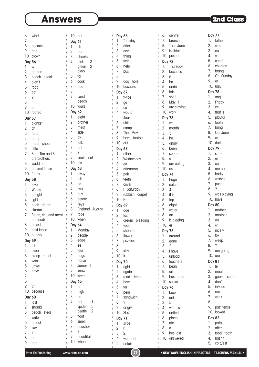| 6.            | wind                               | 10. but       |                |
|---------------|------------------------------------|---------------|----------------|
| 7.            | Ţ                                  | Day 61        |                |
| 8.            | because                            | 1.            | ch             |
| 9.            | and                                | 2.            | front          |
|               | 10. clown                          | 3.            | cheek          |
| <b>Day 56</b> |                                    | 4.            | pink           |
| 1.            | W                                  |               | green          |
| 2.            | garden                             |               | black          |
| 3.            | beach<br>speak                     | 5.            | for            |
| 4.            | didn't                             | 6.            | cook           |
| 5.            | road                               | 7.            | tree           |
| 6.            | pot                                | 8.            | ï              |
| 7.            | ?                                  | 9.            | sand           |
| 8.            | if                                 |               | beach          |
| 9.            | but                                | 10.           | yours          |
| 10.           | roared                             | <b>Day 62</b> |                |
| <b>Day 57</b> |                                    | 1.            | eight          |
| 1.            | blanket                            | 2.            | brothe         |
| 2.            | ch                                 | 3.            | meat           |
| 3.            |                                    | 4.            | side           |
| 4.            | noon                               | 5.            | by             |
| 5.            | damp<br>meat<br>cheat              | 6.            | talk           |
| 6.            | little                             | 7.            | ant            |
| 7.            | Sam, Tim and Ben                   | 8.            | ?              |
|               | are brothers.                      | 9.            | snail          |
| 8.            | waddled                            | 10.           | his            |
| 9.            | present tense                      | <b>Day 63</b> |                |
| 10.           | funny                              | 1.            | away           |
|               |                                    | 2.            | tch            |
| <b>Day 58</b> |                                    | 3.            | ea             |
| 1.            | love                               | 4.            | two            |
| 2.            | Would                              | 5.            | buy            |
| 3.            | tonight                            | 6.            | before         |
| 4.            | light                              | 7.            | keys           |
| 5.            | beak dream                         | 8.            | Engla          |
| 6.            | stream                             | 9.            | rode           |
| 7.            | Bread, rice and meat<br>are foods. |               | 10. when       |
| 8.            | baked                              |               |                |
|               |                                    | Day 64        |                |
| 9.<br>10.     | past tense                         | 1.            | Mond           |
|               | hungry                             | 2.<br>3.      | peopl          |
| <b>Day 59</b> |                                    | 4.            | edge<br>ee     |
| 1.            | tch                                | 5.            | four           |
| 2.            | oven                               | 6.            |                |
| 3.            | street<br>creep                    |               | huge           |
| 4.            | won                                | 7.<br>8.      | horse<br>Jame: |
| 5.            | unwell                             | 9.            | know           |
| 6.            | have                               | 10.           | were           |
| 7.            |                                    |               |                |
| 8.            | I                                  | <b>Day 65</b> |                |
| 9.            | or                                 | 1.            | on             |
| 10.           | because                            | 2.            | high           |
| <b>Day 60</b> |                                    | 3.            | ee             |
| 1.            | last                               | 4.            | ant            |
| 2.            | should                             |               | spider         |
| 3.            | peach<br>steal                     |               | beetle         |
| 4.            | write                              | 5.<br>6.      | float          |
| 5.            | unlock                             |               | smell          |
| 6.            | saw                                | 7.            | peach<br>?     |
| 7.            | ?                                  | 8.<br>9.      |                |
| 8.            | he                                 | 10.           | beaut<br>when  |
| 9.            | and                                |               |                |

| but                               | Day 66                                       |
|-----------------------------------|----------------------------------------------|
|                                   | 1.<br>Tuesday                                |
| 61                                |                                              |
| ch                                | 2.<br>after                                  |
| front                             | 3.<br>any                                    |
|                                   | 4. thing                                     |
| cheeks                            | 5. fast                                      |
| pink<br>3                         |                                              |
| $\overline{c}$<br>green           | 6. help                                      |
| black<br>1                        | 7.<br>bus                                    |
|                                   |                                              |
| for                               | 8.                                           |
| cook                              | 9.<br>dog hole                               |
| tree                              | 10. because                                  |
|                                   |                                              |
|                                   | Day 67                                       |
| sand                              | 1.<br>twice                                  |
| beach                             | 2.<br>ge                                     |
| yours                             | 3. ea                                        |
|                                   |                                              |
| 62                                | 4.<br>would                                  |
| eight                             | 5.<br>flour                                  |
| brother                           | 6. children                                  |
| meat                              |                                              |
|                                   | 7. camp                                      |
| side                              | 8.<br>The May                                |
| by                                | 9.<br>boys football                          |
| talk                              | 10.<br>out                                   |
|                                   |                                              |
| ant                               | <b>Day 68</b>                                |
| ?                                 | 1.<br>other                                  |
| snail<br>leaf                     | Wednesday                                    |
| his                               | 2.                                           |
|                                   | 3.<br>ea                                     |
| 63                                | 4. after<br>5. pair<br>6. teetl<br>afternoon |
| away                              |                                              |
|                                   |                                              |
| tch                               | teeth                                        |
| ea                                | 7.<br>cover                                  |
| two                               | 8.<br>I Saturday                             |
| buy                               | 9.<br>rubbish carpet                         |
|                                   |                                              |
| before                            | 10. He                                       |
| keys                              | <b>Day 69</b>                                |
| England August                    | 1.                                           |
| rode                              | dge                                          |
|                                   | 2.<br>fox                                    |
| when                              | 3.<br>dream bleeding                         |
| 64                                | 4. your                                      |
| Monday                            |                                              |
|                                   | 5.<br>shouted                                |
| people                            | 6.<br>flower                                 |
| edge                              | 7.<br>puzzles                                |
| ee                                | 8.                                           |
| four                              |                                              |
|                                   | 9.<br>silly                                  |
| huge                              | 10.<br>if                                    |
| horse                             | <b>Day 70</b>                                |
| James<br>$\overline{\phantom{a}}$ |                                              |
|                                   | 1.<br>right                                  |
| know                              | 2.<br>again                                  |
| were                              | 3.<br>read<br>trees                          |
| 65                                | 4.<br>how                                    |
|                                   |                                              |
| on                                | 5.<br>far                                    |
| high                              | 6.<br>pear                                   |
| ee                                | 7.<br>sandwich                               |
| ant<br>1                          |                                              |
|                                   | 8.<br>$\overline{\phantom{a}}$               |
| spider<br>3                       | 9.<br>angry                                  |
| 2<br>beetle                       | 10.<br>She                                   |
| float                             |                                              |
| smell                             | Day 71                                       |
|                                   | slice<br>1.                                  |
| peaches                           | 2.<br>r                                      |
| ?                                 | 3.<br>2                                      |
| beautiful                         | 4.<br>were not                               |
|                                   |                                              |
| when                              | 5.<br>unfair                                 |

| 6.               | centre                          |
|------------------|---------------------------------|
| 7.               | branch                          |
| 8.               | June<br>The                     |
| 9.               | is shining                      |
| 10.              | pushed                          |
|                  |                                 |
| <b>Day 72</b>    |                                 |
| 1.               | Thursday                        |
| 2.               | because                         |
| 3.               | 5                               |
| 4.               | ha                              |
|                  |                                 |
| 5.               | undo                            |
| 6.               | lots                            |
| 7.               | spell                           |
| 8.               | May<br>$\overline{\phantom{a}}$ |
| 9.               | are staying                     |
| 10.              | work                            |
|                  |                                 |
| <b>Day 73</b>    |                                 |
| 1.               | wr                              |
| $\overline{2}$ . | month                           |
| 3.               | 3                               |
| 4.               | ha                              |
|                  |                                 |
| 5.               | angry                           |
| 6.               | been                            |
| 7.               | spoon                           |
| 8.               | a                               |
| 9.               | am eating                       |
| 10.              |                                 |
|                  | est                             |
| <b>Day 74</b>    |                                 |
| 1.               | huge                            |
| 2.               | catch                           |
| 3.               | $\overline{4}$                  |
| 4.               | it is                           |
|                  |                                 |
| 5.               | top                             |
| 6.               | eight                           |
| 7.               | water                           |
| 8.               | an                              |
| 9.               | is digging                      |
| 10.              |                                 |
|                  | er                              |
| <b>Day 75</b>    |                                 |
| 1.               | around                          |
| 2.               | gone                            |
| 3.               | 2                               |
| 4.               | I have                          |
| 5.               |                                 |
|                  | unload                          |
| 6.               | teachers                        |
| 7.               | bean                            |
| 8.               | an                              |
| 9.               | has made                        |
| 10.              | spoke                           |
|                  |                                 |
| Day              | 76                              |
| 1.               | back                            |
| 2.               | ank                             |
| 3.               | 5                               |
| 4.               | what is                         |
|                  |                                 |
| 5.               | untied                          |
| 6.               | pinch                           |
| 7.               | ate                             |
| 8.               | a                               |
| 9.               | has lost                        |
| 10.              | answered                        |
|                  |                                 |

| <b>Day 77</b>    |             |
|------------------|-------------|
| 1.               | father      |
| $\overline{2}$ . | what        |
| 3.               | 00          |
| 4.               | wi          |
| 5.               | careful     |
| 6.               | children    |
| 7.               | brang       |
| 8.               | On Sunday   |
| 9.               | er          |
| 10.              | ugly        |
| <b>Day 78</b>    |             |
| 1.               | ang         |
| $\overline{2}$ . | Friday      |
| 3.               | ee          |
| 4.               | that is     |
| 5.               | playful     |
| 6.               | tooth       |
| 7.               | bring       |
| 8.               | Our June    |
| 9.               | est         |
| 10.              | dark        |
| <b>Day 79</b>    |             |
| 1.               | stone       |
| 2.               | er          |
| 3.               | ee          |
| 4.               | are not     |
| 5.               | badly       |
| 6.               | wishes      |
| 7.               | push        |
| 8.               | ?           |
| 9.               | was playing |
| 10.              | have        |
| Day 80           |             |
| 1.               | mother      |
| $\overline{2}$ . | another     |
| 3.               | 00          |
| 4.               | wi          |
| 5.               | nicely      |
| 6.               | fox         |
| 7.               | weep        |
| 8.               | ?           |
| 9.               | are going   |
| 10.              | are         |
| <b>Day 81</b>    |             |
| 1.               | le          |
| 2.               | meat        |
| 3.               | goose spoon |
| 4.               | don't       |
| 5.               | in/side     |
| 6.               | our         |
| 7.               | work        |
| 8.               |             |
| 9.               | past tense  |
| 10.              | looked      |
| <b>Day 82</b>    |             |
| 1.               | path        |
| $\overline{2}$ . | after       |
| 3.               | food tooth  |
| 4.               | hasn't      |
| 5.               | cold/est    |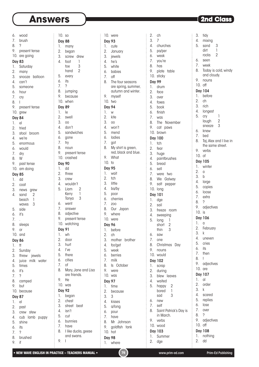10. so Day 88 10. were

 $\vdots$ 

6. wood 7. brush

- 8. ?
- 
- 9. present tense 10. are going

### Day 83

- 1. Saturday 2. many
- 3. snooze balloon
- 4. can't
- 5. someone
- 6. hour
- 7. cry
- 8. I
- 9. present tense
- 10. grew

#### Day 84

- 1. el 2. tried 3. stool broom
- 4. we're
- 5. enormous
- 6. would
- 7. dry
- 8. W
- 9. past tense
- 10. am doing

- Day 85 1. dd
- 2. coat
- 3. news grew 4. sand 2
- beach 1 waves 3
- 5. side
- $6.$  it's
- 7. .
- 8. sleeps
- 9. or
- 10. and

### Day 86

- 1. tt 2. Sunday 3. threw jewels 4. juice milk water 5. times 6. it's 7. ? 8. camped 9. but 10. because Day 87 1. el
- 2. past 3. crew stew
- 4. cub lamb puppy 5. shine
- 
- 6. its<br> $\frac{1}{2}$ 7. ?
- 8. brushed
- 9. if

| 1.               | many                   |
|------------------|------------------------|
| $\overline{2}$ . | began                  |
| 3.               | screw drew             |
| 4.               | 1<br>foot              |
|                  | 3<br>toe               |
|                  | $\overline{2}$<br>hand |
| 5.               | every                  |
| 6.               | its                    |
| 7.               | ?                      |
| 8.               |                        |
| 9.               | jumping<br>because     |
| 10.              |                        |
|                  | when                   |
| Day 89           |                        |
| 1.               | le                     |
| 2.               | swell                  |
| 3.               | 00                     |
| 4.               | don't                  |
| 5.               | sandwiches             |
| 6.               | gone                   |
| 7.               | try                    |
| 8.               | noun                   |
| 9.               | present tense          |
|                  | 10. crashed            |
| <b>Day 90</b>    |                        |
| 1.               | dd                     |
| 2.               |                        |
| 3.               | three                  |
|                  | crew                   |
| 4.<br>5.         | wouldn't               |
|                  | Liam<br>2<br>1         |
|                  | Kerry<br>3<br>Tanya    |
| 6.               |                        |
| 7.               | went<br>answer         |
| 8.               | adjective              |
| 9.               | present tense          |
|                  |                        |
|                  | 10. watching           |
| <b>Day 91</b>    |                        |
| 1.               | wh                     |
| 2.               | door                   |
| 3.               | hurt                   |
| 4.               | l've                   |
| 5.               | there                  |
| 6.               | cities                 |
| 7.               | <sub>of</sub>          |
| 8.               | Mary, Jane and Lisa    |
|                  | are friends.           |
| 9.               | He                     |
| 10.              | was                    |
| <b>Day 92</b>    |                        |
| 1.               | began                  |
| 2.               | chest                  |
| 3.               | street beat            |
| 4.               | isn't                  |
| 5.               | cut                    |
| 6.               | bunnies                |
| 7.               | have                   |
| 8.               | I like ducks, geese    |
|                  | and swans.             |

| <b>Day 93</b>       |                      | 3.            | 7              |
|---------------------|----------------------|---------------|----------------|
| 1.                  | cute                 | 4.            | churo          |
| 2.                  | January              | 5.            | pa/p           |
| 3.                  | jewels               | 6.            | weak           |
| 4.                  | he's                 | 7.            | you'r          |
| 5.                  | white                | 8.            | has            |
| 6.                  | babies               | 9.            | plate          |
| 7.                  | off                  | 10.           | sticky         |
| 8.                  | The four seasons     | <b>Day 99</b> |                |
|                     | are spring, summer,  | 1.            | drum           |
|                     | autumn and winter.   | 2.            | face           |
| 9.                  | myself               | 3.            | over           |
| 10.                 | two                  | 4.            | foxes          |
| <b>Day 94</b>       |                      | 5.            | book           |
| 1.                  | W                    | 6.            | finish         |
| 2.                  | kite                 |               |                |
| 3.                  |                      | 7.<br>8.      | was            |
| 4.                  | OO<br>won't          | 9.            | The            |
| 5.                  |                      |               | cat            |
|                     | mend                 | 10.           | brow           |
| 6.                  | ladies               |               | Day 100        |
| 7.                  | got                  | 1.            | tch            |
| 8.                  | My shirt is green,   | 2.            | fear           |
|                     | red, black and blue. | 3.            | huge           |
| 9.                  | What                 | 4.            | paint          |
| 10.                 | to                   | 5.            | brea           |
| <b>Day 95</b>       |                      | 6.            | sell           |
| 1.                  | wait                 | 7.            | were           |
| 2.                  | tch                  | 8.            | We             |
| 3.                  | little               | 9.            | salt           |
| 4.                  | ba/by                | 10.           | long           |
| 5.                  | poor                 |               |                |
|                     |                      | Day           | 101            |
| 6.                  | cherries             | 1.            | dge            |
| 7.                  | Z00                  | 2.            | sail           |
| 8.                  | Our Japan            | 3.            | freez          |
| 9.                  | where                | 4.            | swee           |
| 10.                 | were                 | 5.            | long           |
| <b>Day 96</b>       |                      |               | short          |
| 1.                  | before               |               | thin           |
| 2.                  | ch                   | 6.            | saw            |
| 3.                  | mother brother       | 7.            | one            |
| 4.                  | for/get              | 8.            | Chris          |
| 5.                  | week                 | 9.            | noun           |
| 6.                  | berries              | 10.           | woul           |
| 7.                  | milk                 |               | 102            |
| 8.                  | ls<br>October        | Day<br>1.     | scrap          |
| 9.                  | were                 | 2.            | durin          |
| 10.                 | was                  | 3.            | blew           |
|                     |                      | 4.            | waite          |
| <b>Day 97</b><br>1. | time                 | 5.            | happ           |
|                     |                      |               | bore           |
| 2.                  | because              |               | sad            |
| 3.                  | 3                    | 6.            | new            |
| 4.                  | kisses               | 7.            | self           |
| 5.                  | a/long               | 8.            | Saint          |
| 6.                  | pour                 |               | in Mo          |
| 7.                  | have                 | 9.            | verbs          |
| 8.                  | Mr Johnson           | 10.           | <b>WOOC</b>    |
| 9.                  | goldfish tank        |               |                |
| 10.                 | hot                  | 1.            | Day 103<br>Sum |
| Day 98              | 1. where             | 2.            | dge            |

| 2.               | ch                                                                                                                                      |
|------------------|-----------------------------------------------------------------------------------------------------------------------------------------|
|                  | 7                                                                                                                                       |
|                  | churches                                                                                                                                |
|                  | pa/per                                                                                                                                  |
|                  | weak                                                                                                                                    |
|                  |                                                                                                                                         |
|                  | you're                                                                                                                                  |
|                  | has                                                                                                                                     |
|                  | plate table                                                                                                                             |
|                  | sticky                                                                                                                                  |
|                  |                                                                                                                                         |
|                  | drum                                                                                                                                    |
|                  | face                                                                                                                                    |
|                  | over                                                                                                                                    |
|                  | foxes                                                                                                                                   |
|                  |                                                                                                                                         |
|                  | book                                                                                                                                    |
|                  | finish                                                                                                                                  |
|                  | was                                                                                                                                     |
|                  | The<br>November                                                                                                                         |
|                  | cat<br>paws                                                                                                                             |
|                  | 10. brown                                                                                                                               |
|                  | <b>Day 100</b>                                                                                                                          |
| 1.               | tch                                                                                                                                     |
|                  | fear                                                                                                                                    |
|                  | huge                                                                                                                                    |
| 4.               | paintbrushes                                                                                                                            |
|                  |                                                                                                                                         |
|                  |                                                                                                                                         |
| 5.               | bread                                                                                                                                   |
| 6.               | sell                                                                                                                                    |
| 7.               | were two                                                                                                                                |
| 8.               | We Galway                                                                                                                               |
| 9.               | salt pepper                                                                                                                             |
|                  | 10. long                                                                                                                                |
|                  | Day 101                                                                                                                                 |
| 1.               | dge                                                                                                                                     |
| $\overline{2}$ . | sail                                                                                                                                    |
| 3.               | freeze room                                                                                                                             |
| 4.               | sweeping                                                                                                                                |
| 5.               | long<br>1                                                                                                                               |
|                  | $\overline{2}$<br>short                                                                                                                 |
|                  | thin<br>3                                                                                                                               |
| 6.               | saw                                                                                                                                     |
| 7.               | one                                                                                                                                     |
| 8.               | Christmas<br>Day                                                                                                                        |
| 9.               | nouns                                                                                                                                   |
| 10.              | would                                                                                                                                   |
|                  | <b>Day 102</b>                                                                                                                          |
| 1.               |                                                                                                                                         |
|                  | scrap                                                                                                                                   |
| $\overline{2}$ . | during<br>leaves                                                                                                                        |
| 3.               | blew                                                                                                                                    |
| 4.               | waited                                                                                                                                  |
| 5.               | happy<br>$\overline{c}$<br>1                                                                                                            |
|                  | bored<br>3<br>sad                                                                                                                       |
|                  | 3.<br>4.<br>5.<br>6.<br>7.<br>8.<br>9.<br>10.<br>Day 99<br>1.<br>$\overline{2}$ .<br>3.<br>4.<br>5.<br>6.<br>7.<br>8.<br>9.<br>2.<br>3. |

3. tidy 4. mixing

 $\vdots$ 

5. sand 3 dirt 1<br>rocks 2 rocks 6. seen 7. week 8. Today is cold, windy and cloudy. 9. nouns 10. off Day 104 1. before 2. ch 3. rich 4. longest 5. cry 1 laugh 2 sneeze 3 6. knew 7. bed 8. Taj, Alex and I live in the same street. 9. verbs 10. of Day 105 1. winter 2. a 3. b 4. large 5. copies 6. loose 7. extra 8. ? 9. adjectives 10. is Day 106 1. a 2. February 3. k 4. uneven 5. cries 6. its 7. then 8. ! 9. adjectives 10. are Day 107 1. al 2. order 3. k 4. scared 5. replies 6. lose 7. over 8. ? 9. adjectives 10. off Day 108 1. nothing 2. dd

9. I

Saint Patrick's Day is

in March. verbs wood

**Summer** dge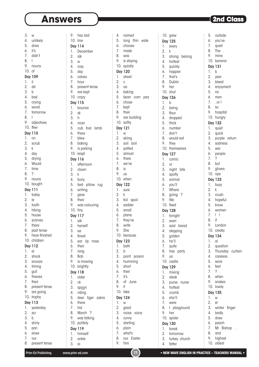### **Answers Exercise 2nd Class**

outside

3. w 4. unlikely 5. dries  $6.$  it's 7. didn't 8. ! 9. nouns 10. of Day 109 1. il 2. dd 3. b 4. bad 5. crying 6. wood 7. tomorrow 8. ! 9. adjectives 10. flew Day 110 1. nn 2. scrub 3. k 4. day 5. drying 6. Would 7. time 8. ? 9. nouns 10. bought Day 111 1. today 2. le 3. tooth 4. hiking 5. house 6. scarves 7. there 8. past tense 9. have finished 10. children Day 112 1. el 2. shock 3. snooze 4. timing 5. gull 6. thieves 7. their 8. present tense 9. are going 10. trophy Day 113 1. yesterday 2. scr 3. b 4. shiny 5. pan 6. elves 7. our

9. has laid 10. line Day 114 1. December 2. alk 3. w 4. rosy 5. day 6. calves 7. hour 8. present tense 9. are kept  $\frac{1}{2}$  10. crazy Day 115 1. bounce 2. sk 3. h  $\frac{1}{2}$  4. nicer  $\frac{1}{2}$  5. cub foal lamb  $6.$  there  $\frac{1}{2}$ . blew 8. baking 9. is parking  $\frac{1}{2}$  10. leapt Day 116  $\frac{1}{2}$  1. afternoon 2. clown 3. k  $\frac{1}{2}$  4. bony 5. bed pillow rug 6. writing 7. gave 8. their 9. was colouring  $\frac{1}{2}$  10. tiny  $\frac{1}{2}$  Day 117  $: 1.$  alk  $\frac{1}{2}$ . herself 3. ee  $4.$  finest 5. ear lip nose 6. their  $\frac{1}{2}$  7. rang 8. Bob . 9. is mowing 10. brightly Day 118 : 1. older 2. ck 3. sp<u>oo</u>n  $\frac{1}{2}$  4. riding 5. deer tiger zebra  $\frac{1}{2}$  6. there 7. hid 8. March ? 9. was talking  $\frac{1}{2}$  10. politely Day 119 1. himself

| 4.               | named            |
|------------------|------------------|
| 5.               | long thin wide   |
|                  |                  |
| 6.               | choose           |
| 7.               | made             |
| 8.               | was              |
|                  |                  |
| 9.               | is staying       |
|                  | 10. quickly      |
|                  | <b>Day 120</b>   |
|                  |                  |
| 1.               | street           |
| 2.               | C                |
| 3.               | oa               |
|                  |                  |
|                  | 4. baking        |
|                  | 5. bean corn pea |
|                  | 6. chose         |
|                  | 7. kept          |
|                  |                  |
|                  | 8. their         |
| 9.               | are building     |
|                  | 10. softly       |
|                  |                  |
|                  | Day 121          |
| 1.               | W                |
| 2.               | skiing           |
| 3.               | soil boil        |
|                  |                  |
| 4.               | patted           |
| 5.               | almost           |
| 6.               | there            |
| 7.               | we've            |
| 8.               |                  |
|                  | is               |
| 9.               | us               |
|                  | 10. when         |
|                  | <b>Day 122</b>   |
| 1.               |                  |
|                  | sure             |
| 2.               | k                |
| 3.               | foil spoil       |
| 4.               | sadder           |
| 5.               | small            |
|                  |                  |
| 6.               | plane            |
| 7.               | they've          |
|                  | 8. write         |
| 9.               | She              |
|                  | 10. because      |
|                  |                  |
|                  | <b>Day 123</b>   |
| 1.               | bath             |
| $\overline{2}$ . | b                |
| 3.               | point poison     |
|                  |                  |
| 4.               | humming          |
| 5.               | short            |
| 6.               | their            |
| 7.               | it's             |
| 8.               | of June          |
|                  |                  |
| 9.               | it               |
| 10.              | take             |
|                  | <b>Day 124</b>   |
| 1.               | W                |
|                  |                  |
| 2.               | great            |
| 3.               | noise<br>voice   |
| 4.               | runny            |
| 5.               | starting         |
| 6.               |                  |
|                  | plain            |
| 7.               | what's           |
| 8.               | our Easter       |
| 9.               | him              |

| 10.              | grew            | 5.               |
|------------------|-----------------|------------------|
|                  | <b>Day 125</b>  | 6.               |
| 1.               | every           | 7.               |
| $\overline{2}$ . | k               | 8.               |
| 3.               | strong belong   | 9.               |
| 4.               | hottest         | 10               |
|                  | 5. quickly      | Da               |
|                  | 6. happier      | 1.               |
| 7.               | that's          | 2.               |
| 8.               | Dublin          | 3.               |
| 9.               | her             | 4.               |
|                  | 10. shut        | 5.               |
|                  | Day 126         | 6.               |
| 1.               | b               | 7.               |
| 2.               | being           | 8.               |
| 3.               | flour           | 9.               |
| 4.               | dropped         | 10               |
| 5.               | thick           | Da               |
| 6.               | number          | 1.               |
| $\overline{7}$ . | don't           | 2.               |
| 8.               | would eat       | 3.               |
| 9.               | they            | 4.               |
| 10.              | themselves      | 5.               |
|                  | Day 127         | 6.               |
| 1.               | comic           | 7.               |
| 2.               | or              | 8.               |
| 3.               | night bite      | 9.               |
| 4.               | spotty          | 10               |
| 5.               | animal          | Da               |
| 6.               | you'll          | 1.               |
|                  | 7. Where        | 2.               |
| 8.               | going<br>?      | 3.               |
| 9.               | We              | 4.               |
| 10.              | fixed           | 5.               |
|                  | <b>Day 128</b>  | 6.               |
| 1.               | tonight         | 7.               |
|                  | 2. even         | 8.               |
| 3.               | said bread      | 9.               |
| 4.               | stepping        | 10               |
| 5.               | golden          | Da               |
| 6.               | he'll           | 1.               |
| 7.               | quite           | 2.               |
| 8.               | has<br>party    | 3.               |
| 9.               | us              | 4.               |
| 10.              | castle          | 5.               |
|                  | <b>Day 129</b>  | 6.               |
| 1.               | mixing          | 7.               |
| 2.               | steak           | 8.               |
| 3.               | purse<br>nurse  | 9.               |
| 4.               | hottest         | 10               |
| 5.               | crumb           | Da               |
| 6.               | she'll          | 1.               |
| 7.               | were            | $\overline{2}$ . |
| 8.               | L<br>playground | 3.               |
| 9.               | her             | 4.               |
| 10.              | spider          | 5.               |
|                  | Day 130         | 6.               |
| 1.               | break           | 7.<br>8.         |
| $\overline{2}$ . | tomorrow        | 9.               |
| 3.               | turkey church   |                  |

| 6.               | you've                             |
|------------------|------------------------------------|
| 7.               | quiet                              |
| 8.               | The                                |
| 9.               | mine                               |
| 10.              | banana                             |
|                  | Day 131                            |
| 1.               | b                                  |
| 2.               | year                               |
| 3.               | bleed                              |
| 4.               | enjoyment                          |
| 5.               | no                                 |
| 6.               | men                                |
| 7.               | . or !                             |
| 8.               | S <sub>O</sub>                     |
| 9.               | hospital                           |
| 10.              | hungry                             |
|                  | Day 132                            |
| 1.               | quiet                              |
|                  | quick                              |
| 2.<br>3.         | purple return                      |
| 4.               |                                    |
| 5.               | sadness                            |
| 6.               | war                                |
| 7.               | people<br>$\overline{\phantom{a}}$ |
| 8.               | but                                |
| 9.               | gloves                             |
|                  | 10. ripe                           |
|                  |                                    |
| 1.               | <b>Day 133</b>                     |
| $\overline{2}$ . | busy<br>k                          |
| 3.               |                                    |
| 4.               | crush                              |
| 5.               | hopeful                            |
| 6.               | know<br>women                      |
| 7.               | ļ<br>ļ                             |
| 8.               | if                                 |
| 9.               | London                             |
| 10.              | creaky                             |
|                  |                                    |
|                  | Day 134                            |
| 1.               | al                                 |
| 2.<br>3.         | question<br>Thursday curtain       |
| 4.               | careless                           |
| 5.               | wore                               |
| 6.               | feet                               |
| 7.               | ?                                  |
| 8.               | when                               |
| 9.               | snakes                             |
| 10.              | lovely                             |
| Day              | 135                                |
| 1.               | W                                  |
| 2.               | el                                 |
| 3.               | winter finger                      |
| 4.               | badly                              |
| 5.               | draw                               |
|                  |                                    |
| 6.               | peach                              |
| 7.<br>8.         | Mr<br>Bishop                       |
|                  | and                                |
| 9.               | highest                            |

8. present tense

2. ankle 3. ai

4. fatter

10. oldest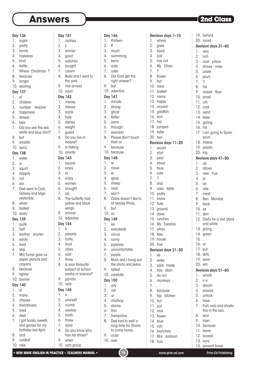### **Answers**

Day 141 1. clothes

Day  $1.$  $\overline{2}$ .  $3.$ 

 $5.$  $6.$  $7.$ 

 $\overline{Q}$  $10$ 

### **2nd Class**

Revision days 31–40

19. behind 20. raced

 $\vdots$ 

1. very 2. rich 3. coat pillow 4. shows nose 5. under 6. plum

#### Day 136

- 1. sugar
- 2. pretty
- 3. bomb
- 4. hopeless
- 5. knot
- 6. kettle
- 7. Where Christmas ?
- 8. because
- 9. longer
- 10. exciting
- Day 137

#### 1. el

- 2. children
- 3. number teacher
- 4. happiness
- 5. drawer
- 6. bike
- 7. Did you see the red, white and blue shirt?
- 8. but
- 9. smaller
- 10. spicy

### Day 138

- 1. water
- 2. w
- 3. squirt
- 4. happily
- 5. not
- 6. ear
- 7. Dad went to Cork, Galway and Sligo yesterday.
- 8. when
- 9. fastest
- 10. dusty

#### Day 139

- 1. quite
- 2. half
- 3. brother shorter
- 4. easily
- 5. tired
- 6. skip
- 7. Mrs Turner gave us paper, pencils and crayons.
- 8. because
- 9. lighter
- 10. burrow

#### Day 140

- 1. al
- 2. many
- 3. choose
- 4. friendliness
- 5. tried
- 6. deer
- 7. I got books, sweets and games for my
- birthday last April. 8. and
- 9. coldest 10. rake
- 

2. k 3. winner 4. good 5. watches 6. bought 7. cream 8. Bella and I went to the park. 9. has arrived 10. noun Day 142 1. money 2. always 3. sizzle 4. help 5. dishes 6. weight 7. guard 8. Do you live in Ireland? 9. is talking 10. silently Day 143 1. square 2. enjoy 3. er 4. enjoy 5. women 6. brought 7. zip 8. The butterfly had yellow and black wings. 9. animal 10. adjective Day 144 1. h 2. parents 3. turtle 4. loud 5. cities 6. wait 7. three 8. Is your favourite subject at school maths or science? 9. parrots 10. verb Day 145 1. ir 2. yourself 3. crumb 4. useless 5. tooth 6. threw

8. Do you know who has my shoes? Day  $\mathbb{L}$  $\overline{2}$ .  $3.$  $\overline{4}$ . 5. jeans  $6.$  $\overline{7}$ .  $9.$  $10.$ Day  $\mathbf{1}$ . 2. move  $3.$  $4.$  $5.$  $6.$  $\overline{7}$ .  $\overline{9}$  $10$ Day  $\mathbf{1}$ .  $\overline{2}$ .  $3.$  $\overline{4}$ 5. pyjamas 7. purple 9.  $10.$ Day  $\overline{1}$ .  $\overline{2}$  $3.$ 4. chatting  $5.$  $6.$  $7.$ 9. cruel  $10.$ 

|        | Day 146                              |     | Revision days 1-10  |
|--------|--------------------------------------|-----|---------------------|
| 1.     | thirteen                             | 1.  | where               |
| 2.     | ff                                   | 2.  | goes                |
| 3.     | much                                 | 3.  | bead                |
| 4.     | swimming                             | 4.  | lost                |
| 5.     | berry                                | 5.  | has not             |
| 6.     | rode                                 |     | 6. My Oliver        |
| 7.     | cake                                 | 7.  | ?                   |
| 8.     | Did Cora get the                     | 8.  | flower              |
|        | right answer?                        | 9.  | but                 |
| 9.     | but                                  |     | 10. have            |
|        | 10. adjective                        |     | 11. basket          |
|        | Day 147                              |     | 12. name            |
| 1.     | minute                               |     | 13. happy           |
| 2.     | strong<br>strong<br>ghost<br>flatter |     | 14. around          |
| 3.     |                                      |     | 15. goldfish        |
| 4.     |                                      |     | 16. hint            |
| 5.     | jeans                                |     | 17. hid             |
|        | 6. through                           |     | 18. jumped          |
| 7.     | avocado                              |     | 19. taller          |
| 8.     | Please don't touch                   |     | 20. two             |
|        | that! or.                            |     | Revision days 11-20 |
| 9.     | because                              |     | 1. would            |
|        | 10. because                          | 2.  | shirt               |
|        | Day 148                              | 3.  | pear                |
| 1.     | αr                                   | 4.  | street              |
| 2.     | move                                 | 5.  | here                |
| 3.     | er                                   | 6.  | cats                |
| 4.     | spies                                | 7.  | ?                   |
| 5.     | sheep                                | 8.  | and                 |
| 6.     | road                                 | 9.  | vase<br>table       |
| 7.     | won't                                |     | 10. pretty          |
| 8.     | Claire doesn't like to               |     | 11. brave           |
|        | sit beside Philip.                   |     | 12. flute           |
| 9.     | but                                  |     | 13. ground          |
| 10. so |                                      |     | 14. done            |
|        | Day 149                              |     | 15. lunches         |
| 1.     | ea                                   |     | 16. My Tuesday      |
| 2.     | everybody                            |     | 17. when            |
| 3.     | circus                               |     | 18. flew            |
| 4.     | runny                                |     | 19. house           |
| 5.     | pyjamas                              |     | 20. true            |
| 6.     | uncomfortable                        |     | Revision days 21-30 |
| 7.     | purple                               | 1.  | ve                  |
| 8.     | Mum and I hung out                   | 2.  | woke                |
|        | the shirts and jeans.                | 3.  | paid made           |
| 9.     | tallest                              | 4.  | tray stain          |
|        | 10. carefully                        | 5.  | do not              |
|        | Day 150                              | 6.  | monkeys             |
| 1.     | any                                  | 7.  |                     |
| 2.     | oar                                  | 8.  | because             |
| 3.     | ur                                   | 9.  | tap kitchen         |
| 4.     | chatting                             | 10. | hot                 |
| 5.     | stories                              |     | 11. put             |
| 6.     | thin                                 |     | 12. rock            |
| 7.     | trampoline                           |     | 13. flower          |
| 8.     | Dad had to wait a                    |     | 14. blue            |
|        | long time for Shane                  |     | 15. rich            |
|        | to come home.                        |     | 16. branches        |
| 9.     | cruel                                |     | 17. Mrs Jackson     |
| 10.    | over                                 |     | 18. true            |
|        |                                      |     |                     |

| 3 <sub>1</sub><br>dream<br>4. sneeze<br>5. unlock<br>6. have<br>7. Fish, eels and<br>live in the sea<br>8. won<br>9. man<br>10. because<br>11. leave<br>12. scored<br>13. ours<br>14. present tense<br>Prim-Ed Pub | Ζ. | 0 e |
|--------------------------------------------------------------------------------------------------------------------------------------------------------------------------------------------------------------------|----|-----|
|                                                                                                                                                                                                                    |    |     |
|                                                                                                                                                                                                                    |    |     |
|                                                                                                                                                                                                                    |    |     |
|                                                                                                                                                                                                                    |    |     |
|                                                                                                                                                                                                                    |    |     |
|                                                                                                                                                                                                                    |    |     |
|                                                                                                                                                                                                                    |    |     |
|                                                                                                                                                                                                                    |    |     |
|                                                                                                                                                                                                                    |    |     |
|                                                                                                                                                                                                                    |    |     |
|                                                                                                                                                                                                                    |    |     |
|                                                                                                                                                                                                                    |    |     |
|                                                                                                                                                                                                                    |    |     |
|                                                                                                                                                                                                                    |    |     |
|                                                                                                                                                                                                                    |    |     |

#### 7. ? 8. his 9. carpet floor 10. small 11. om 12. coat 13. sand 14. blew

15. go/ing

- 16. his 17. I am going to Spain soon. 18. makes 19. plastic 20. ing Revision days 41–50
- 2. above 3. new true 4. ai

1. oa

- 5. an 6. ride
- 7. meet
- 8. Ben Monday<br>9 back
- 9. back
- 10. es
- 11. skin
- 12. Dad's tie is red, black and white.
- 13. giving
- 14. green
- 15. .
- 16. er
- 17. put
- 18. dirty
- 19. were
- 20. am

### Revision days 51–60

- 1. would
- 2. o e
- 
- ze
- 
- 7. Fish, eels and sharks the sea.
- 
- $IS<sub>B</sub>$
- 
- 

7. sand

9. when 10. verb group